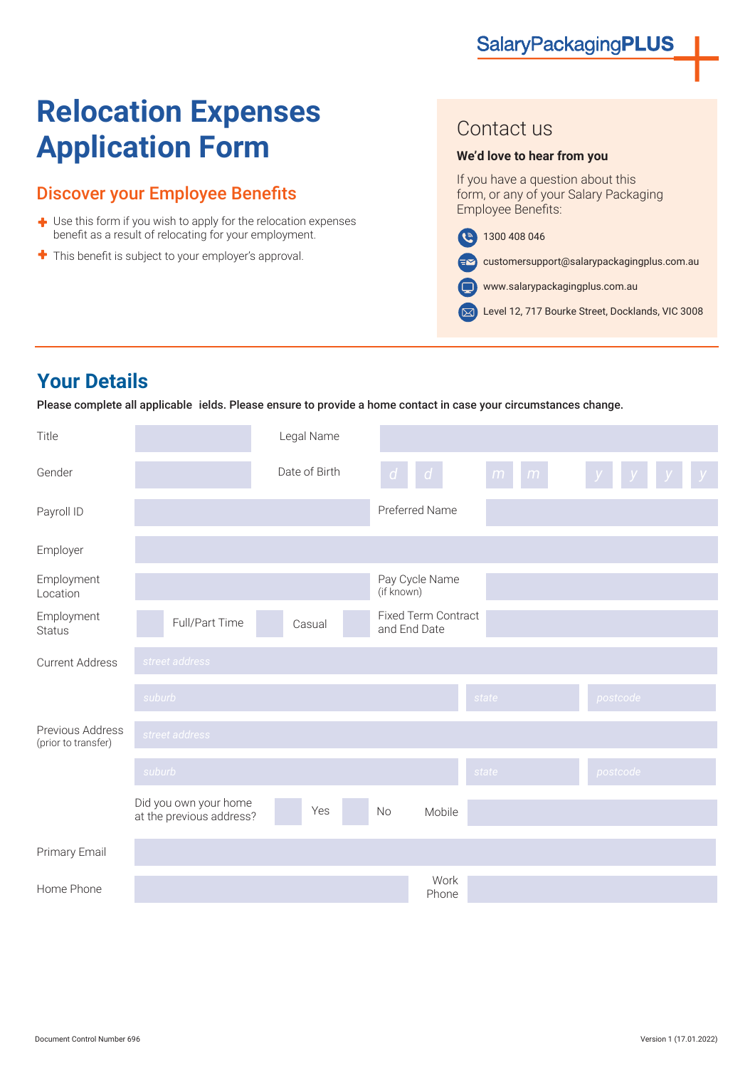# **Relocation Expenses Application Form**

### Discover your Employee Benefits

- $\blacklozenge$  Use this form if you wish to apply for the relocation expenses benefit as a result of relocating for your employment.
- ۰ This benefit is subject to your employer's approval.

### Contact us

#### **We'd love to hear from you**

If you have a question about this form, or any of your Salary Packaging Employee Benefits:

1300 408 046

customersupport@salarypackagingplus.com.au  $=$  $\blacktriangledown$ 

www.salarypackagingplus.com.au  $\blacksquare$ 

Level 12, 717 Bourke Street, Docklands, VIC 3008

# **Your Details**

Please complete all applicable ields. Please ensure to provide a home contact in case your circumstances change.

| Title                                   |                                                   | Legal Name    |                                            |                |          |
|-----------------------------------------|---------------------------------------------------|---------------|--------------------------------------------|----------------|----------|
| Gender                                  |                                                   | Date of Birth | $\mathsf{d}$<br>$\sigma$                   | m<br>$\bullet$ | $y_{-}$  |
| Payroll ID                              |                                                   |               | Preferred Name                             |                |          |
| Employer                                |                                                   |               |                                            |                |          |
| Employment<br>Location                  |                                                   |               | Pay Cycle Name<br>(if known)               |                |          |
| Employment<br><b>Status</b>             | Full/Part Time                                    | Casual        | <b>Fixed Term Contract</b><br>and End Date |                |          |
| <b>Current Address</b>                  | street address                                    |               |                                            |                |          |
|                                         | suburb                                            |               |                                            | state          | postcode |
| Previous Address<br>(prior to transfer) | street address                                    |               |                                            |                |          |
|                                         | suburb                                            |               |                                            | state          | postcode |
|                                         | Did you own your home<br>at the previous address? | Yes           | Mobile<br>No                               |                |          |
| Primary Email                           |                                                   |               |                                            |                |          |
| Home Phone                              |                                                   |               | Work<br>Phone                              |                |          |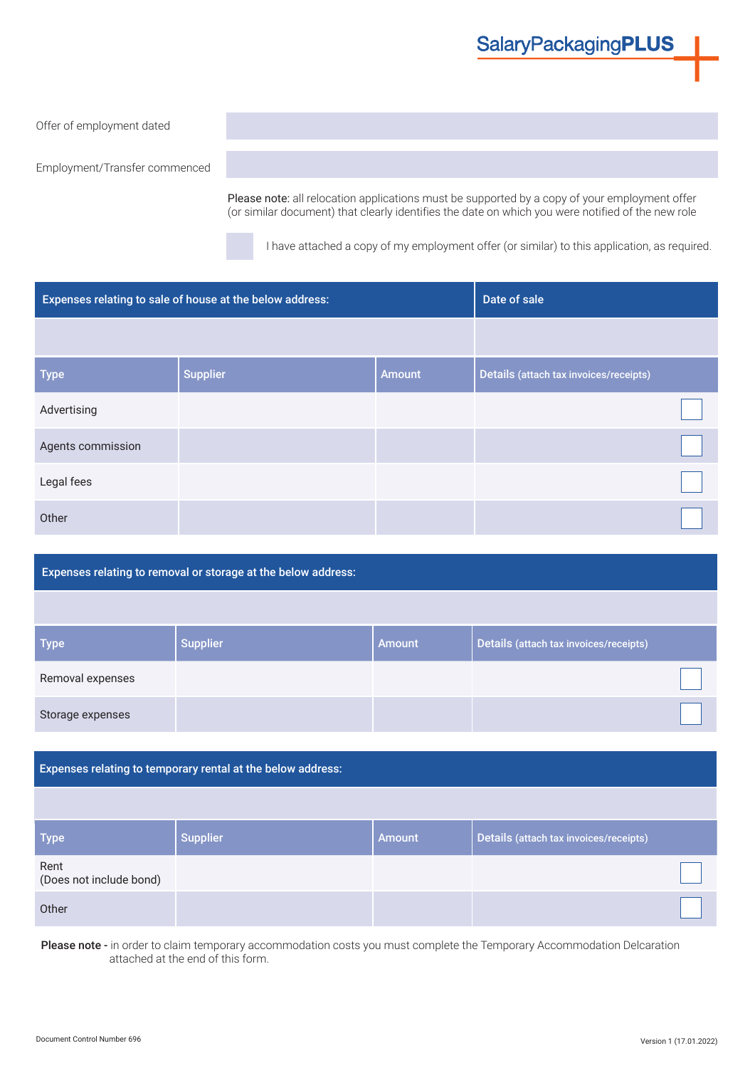## **SalaryPackagingPLUS**

#### Offer of employment dated

Employment/Transfer commenced

Please note: all relocation applications must be supported by a copy of your employment offer (or similar document) that clearly identifies the date on which you were notified of the new role

I have attached a copy of my employment offer (or similar) to this application, as required.

| Expenses relating to sale of house at the below address: |                 |               | Date of sale                           |  |
|----------------------------------------------------------|-----------------|---------------|----------------------------------------|--|
|                                                          |                 |               |                                        |  |
| <b>Type</b>                                              | <b>Supplier</b> | <b>Amount</b> | Details (attach tax invoices/receipts) |  |
| Advertising                                              |                 |               |                                        |  |
| Agents commission                                        |                 |               |                                        |  |
| Legal fees                                               |                 |               |                                        |  |
| Other                                                    |                 |               |                                        |  |

#### Expenses relating to removal or storage at the below address:

| <b>Type</b>      | <b>Supplier</b> | l Amount | Details (attach tax invoices/receipts) |
|------------------|-----------------|----------|----------------------------------------|
| Removal expenses |                 |          |                                        |
| Storage expenses |                 |          |                                        |

#### Expenses relating to temporary rental at the below address:

| <b>Type</b>                     | <b>Supplier</b> | <b>Amount</b> | Details (attach tax invoices/receipts) |  |
|---------------------------------|-----------------|---------------|----------------------------------------|--|
| Rent<br>(Does not include bond) |                 |               |                                        |  |
| Other                           |                 |               |                                        |  |

Please note - in order to claim temporary accommodation costs you must complete the Temporary Accommodation Delcaration attached at the end of this form.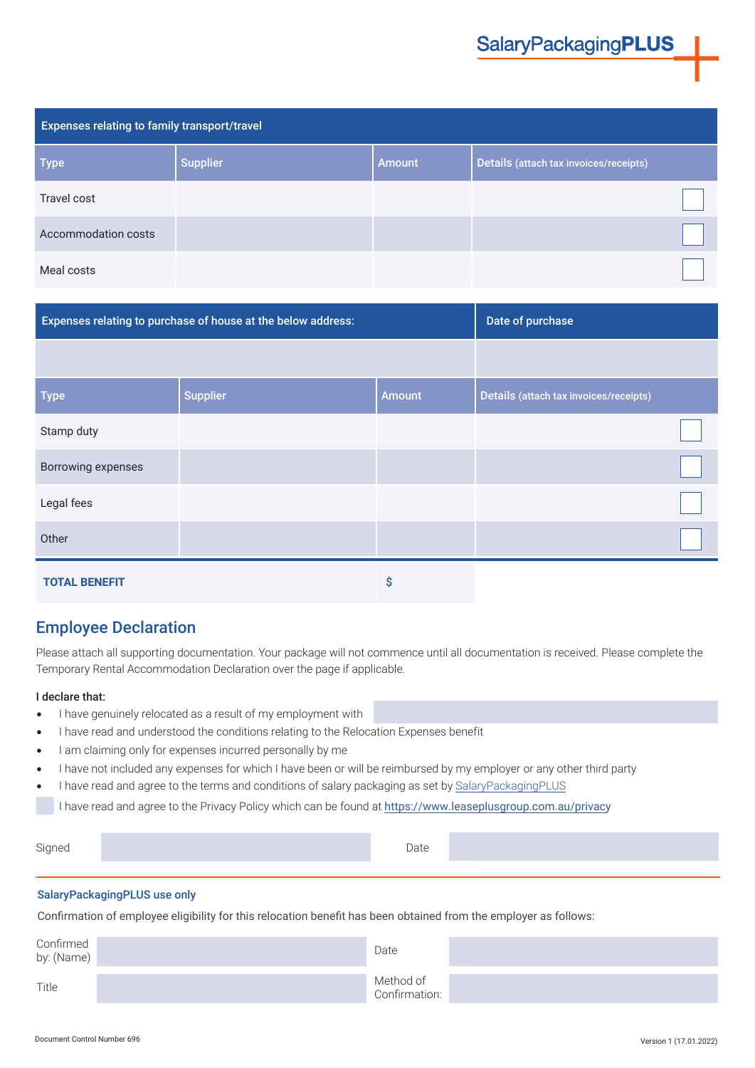| <b>Expenses relating to family transport/travel</b> |                 |               |                                        |  |
|-----------------------------------------------------|-----------------|---------------|----------------------------------------|--|
| <b>Type</b>                                         | <b>Supplier</b> | <b>Amount</b> | Details (attach tax invoices/receipts) |  |
| Travel cost                                         |                 |               |                                        |  |
| Accommodation costs                                 |                 |               |                                        |  |
| Meal costs                                          |                 |               |                                        |  |

| Expenses relating to purchase of house at the below address: |                 |               | Date of purchase                       |  |
|--------------------------------------------------------------|-----------------|---------------|----------------------------------------|--|
|                                                              |                 |               |                                        |  |
| <b>Type</b>                                                  | <b>Supplier</b> | <b>Amount</b> | Details (attach tax invoices/receipts) |  |
| Stamp duty                                                   |                 |               |                                        |  |
| <b>Borrowing expenses</b>                                    |                 |               |                                        |  |
| Legal fees                                                   |                 |               |                                        |  |
| Other                                                        |                 |               |                                        |  |
| <b>TOTAL BENEFIT</b>                                         |                 | Ŝ             |                                        |  |

### Employee Declaration

Please attach all supporting documentation. Your package will not commence until all documentation is received. Please complete the Temporary Rental Accommodation Declaration over the page if applicable.

#### I declare that:

- I have genuinely relocated as a result of my employment with
- I have read and understood the conditions relating to the Relocation Expenses benefit
- I am claiming only for expenses incurred personally by me
- I have not included any expenses for which I have been or will be reimbursed by my employer or any other third party
- I have read and agree to the terms and conditions of salary packaging as set by [SalaryPackagingPLUS](https://www.salarypackagingplus.com.au/termsandconditions)

I have read and agree to the Privacy Policy which can be found at <https://www.leaseplusgroup.com.au/privacy>

| igned | )ate |  |
|-------|------|--|
|       |      |  |

#### SalaryPackagingPLUS use only

Confirmation of employee eligibility for this relocation benefit has been obtained from the employer as follows:

| Confirmed<br>by: (Name) | Date                       |  |
|-------------------------|----------------------------|--|
| Title                   | Method of<br>Confirmation: |  |